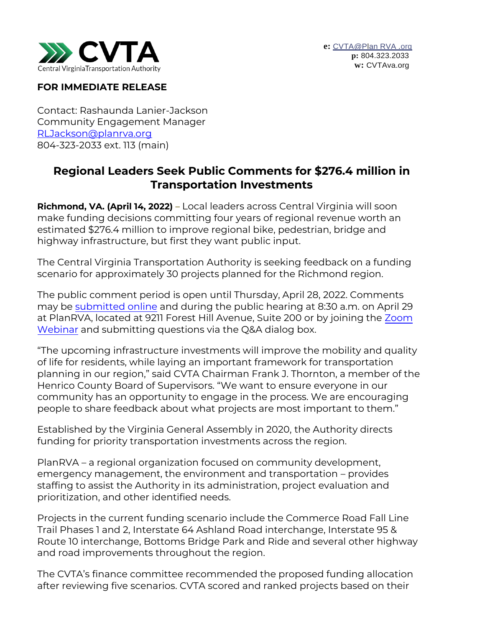

## **FOR IMMEDIATE RELEASE**

Contact: Rashaunda Lanier-Jackson Community Engagement Manager [RLJackson@planrva.org](mailto:RLJackson@planrva.org) 804-323-2033 ext. 113 (main)

## **Regional Leaders Seek Public Comments for \$276.4 million in Transportation Investments**

**Richmond, VA. (April 14, 2022) –** Local leaders across Central Virginia will soon make funding decisions committing four years of regional revenue worth an estimated \$276.4 million to improve regional bike, pedestrian, bridge and highway infrastructure, but first they want public input.

The Central Virginia Transportation Authority is seeking feedback on a funding scenario for approximately 30 projects planned for the Richmond region.

The public comment period is open until Thursday, April 28, 2022. Comments may be [submitted online](https://planrva.org/transportation/cvta-comments/) and during the public hearing at 8:30 a.m. on April 29 at PlanRVA, located at 9211 Forest Hill Avenue, Suite 200 or by joining the Zoom Webinar and submitting questions via the Q&A dialog box.

["The upco](https://planrva-org.zoom.us/webinar/register/WN_mkfFuQwHRV226PqzuiA4MQ)ming infrastructure investments will improve the mobility a[nd quality](https://planrva-org.zoom.us/webinar/register/WN_mkfFuQwHRV226PqzuiA4MQ)  of life for residents, while laying an important framework for transportation planning in our region," said CVTA Chairman Frank J. Thornton, a member of the Henrico County Board of Supervisors. "We want to ensure everyone in our community has an opportunity to engage in the process. We are encouraging people to share feedback about what projects are most important to them."

Established by the Virginia General Assembly in 2020, the Authority directs funding for priority transportation investments across the region.

PlanRVA – a regional organization focused on community development, emergency management, the environment and transportation – provides staffing to assist the Authority in its administration, project evaluation and prioritization, and other identified needs.

Projects in the current funding scenario include the Commerce Road Fall Line Trail Phases 1 and 2, Interstate 64 Ashland Road interchange, Interstate 95 & Route 10 interchange, Bottoms Bridge Park and Ride and several other highway and road improvements throughout the region.

The CVTA's finance committee recommended the proposed funding allocation after reviewing five scenarios. CVTA scored and ranked projects based on their